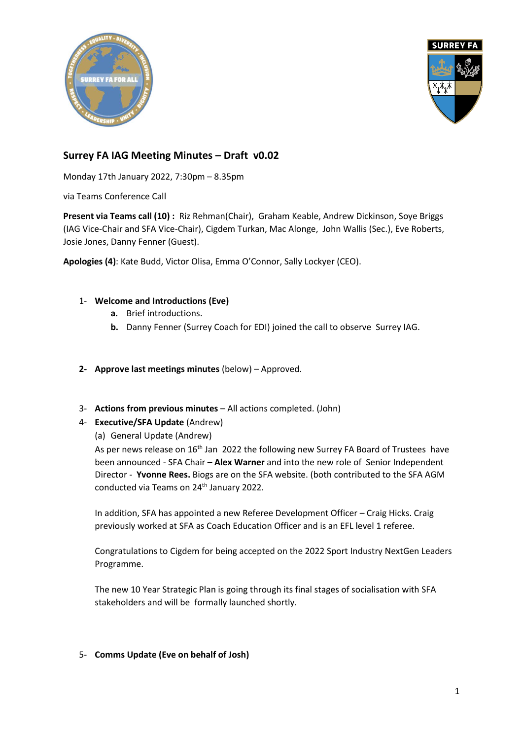



# **Surrey FA IAG Meeting Minutes – Draft v0.02**

Monday 17th January 2022, 7:30pm – 8.35pm

via Teams Conference Call

**Present via Teams call (10) :** Riz Rehman(Chair), Graham Keable, Andrew Dickinson, Soye Briggs (IAG Vice-Chair and SFA Vice-Chair), Cigdem Turkan, Mac Alonge, John Wallis (Sec.), Eve Roberts, Josie Jones, Danny Fenner (Guest).

**Apologies (4)**: Kate Budd, Victor Olisa, Emma O'Connor, Sally Lockyer (CEO).

#### 1- **Welcome and Introductions (Eve)**

- **a.** Brief introductions.
- **b.** Danny Fenner (Surrey Coach for EDI) joined the call to observe Surrey IAG.
- **2- Approve last meetings minutes** (below) Approved.
- 3- **Actions from previous minutes** All actions completed. (John)
- 4- **Executive/SFA Update** (Andrew)

(a) General Update (Andrew)

As per news release on 16<sup>th</sup> Jan 2022 the following new Surrey FA Board of Trustees have been announced - SFA Chair – **Alex Warner** and into the new role of Senior Independent Director - **Yvonne Rees.** Biogs are on the SFA website. (both contributed to the SFA AGM conducted via Teams on 24<sup>th</sup> January 2022.

In addition, SFA has appointed a new Referee Development Officer – Craig Hicks. Craig previously worked at SFA as Coach Education Officer and is an EFL level 1 referee.

Congratulations to Cigdem for being accepted on the 2022 Sport Industry NextGen Leaders Programme.

The new 10 Year Strategic Plan is going through its final stages of socialisation with SFA stakeholders and will be formally launched shortly.

#### 5- **Comms Update (Eve on behalf of Josh)**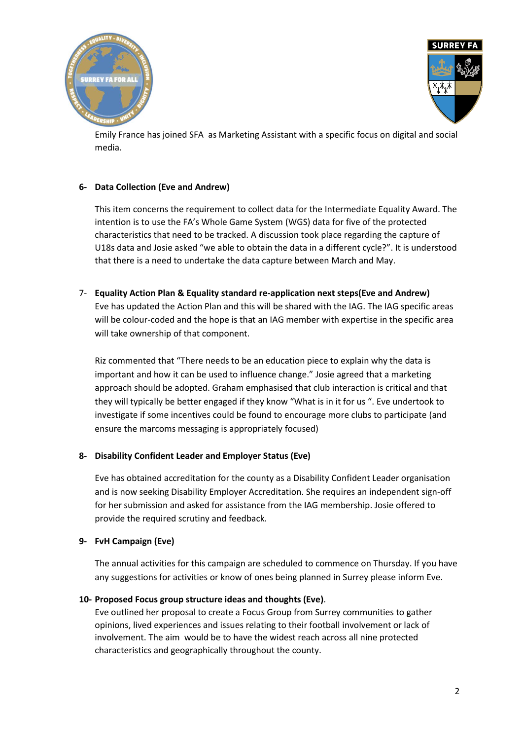



Emily France has joined SFA as Marketing Assistant with a specific focus on digital and social media.

## **6- Data Collection (Eve and Andrew)**

This item concerns the requirement to collect data for the Intermediate Equality Award. The intention is to use the FA's Whole Game System (WGS) data for five of the protected characteristics that need to be tracked. A discussion took place regarding the capture of U18s data and Josie asked "we able to obtain the data in a different cycle?". It is understood that there is a need to undertake the data capture between March and May.

7- **Equality Action Plan & Equality standard re-application next steps(Eve and Andrew)** Eve has updated the Action Plan and this will be shared with the IAG. The IAG specific areas will be colour-coded and the hope is that an IAG member with expertise in the specific area will take ownership of that component.

Riz commented that "There needs to be an education piece to explain why the data is important and how it can be used to influence change." Josie agreed that a marketing approach should be adopted. Graham emphasised that club interaction is critical and that they will typically be better engaged if they know "What is in it for us ". Eve undertook to investigate if some incentives could be found to encourage more clubs to participate (and ensure the marcoms messaging is appropriately focused)

#### **8- Disability Confident Leader and Employer Status (Eve)**

Eve has obtained accreditation for the county as a Disability Confident Leader organisation and is now seeking Disability Employer Accreditation. She requires an independent sign-off for her submission and asked for assistance from the IAG membership. Josie offered to provide the required scrutiny and feedback.

#### **9- FvH Campaign (Eve)**

The annual activities for this campaign are scheduled to commence on Thursday. If you have any suggestions for activities or know of ones being planned in Surrey please inform Eve.

#### **10- Proposed Focus group structure ideas and thoughts (Eve)**.

Eve outlined her proposal to create a Focus Group from Surrey communities to gather opinions, lived experiences and issues relating to their football involvement or lack of involvement. The aim would be to have the widest reach across all nine protected characteristics and geographically throughout the county.